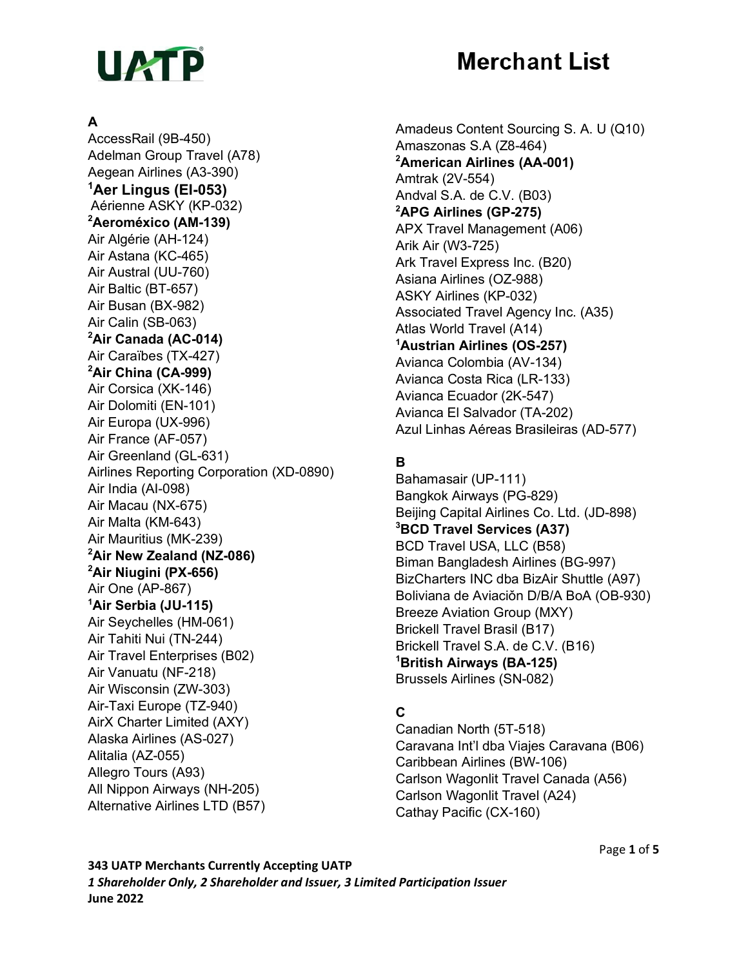

# **Merchant List**

#### **A**

AccessRail (9B-450) Adelman Group Travel (A78) Aegean Airlines (A3-390) **1 Aer Lingus (EI-053)** Aérienne ASKY (KP-032) **2 Aeroméxico (AM-139)** Air Algérie (AH-124) Air Astana (KC-465) Air Austral (UU-760) Air Baltic (BT-657) Air Busan (BX-982) Air Calin (SB-063) **2 Air Canada (AC-014)** Air Caraïbes (TX-427) **2 Air China (CA-999)** Air Corsica (XK-146) Air Dolomiti (EN-101) Air Europa (UX-996) Air France (AF-057) Air Greenland (GL-631) Airlines Reporting Corporation (XD-0890) Air India (AI-098) Air Macau (NX-675) Air Malta (KM-643) Air Mauritius (MK-239) **2 Air New Zealand (NZ-086) 2 Air Niugini (PX-656)** Air One (AP-867) **1 Air Serbia (JU-115)** Air Seychelles (HM-061) Air Tahiti Nui (TN-244) Air Travel Enterprises (B02) Air Vanuatu (NF-218) Air Wisconsin (ZW-303) Air-Taxi Europe (TZ-940) AirX Charter Limited (AXY) Alaska Airlines (AS-027) Alitalia (AZ-055) Allegro Tours (A93) All Nippon Airways (NH-205) Alternative Airlines LTD (B57)

Amadeus Content Sourcing S. A. U (Q10) Amaszonas S.A (Z8-464) **2 American Airlines (AA-001)** Amtrak (2V-554) Andval S.A. de C.V. (B03) **2 APG Airlines (GP-275)** APX Travel Management (A06) Arik Air (W3-725) Ark Travel Express Inc. (B20) Asiana Airlines (OZ-988) ASKY Airlines (KP-032) Associated Travel Agency Inc. (A35) Atlas World Travel (A14) **1 Austrian Airlines (OS-257)** Avianca Colombia (AV-134) Avianca Costa Rica (LR-133) Avianca Ecuador (2K-547) Avianca El Salvador (TA-202) Azul Linhas Aéreas Brasileiras (AD-577)

## **B**

Bahamasair (UP-111) Bangkok Airways (PG-829) Beijing Capital Airlines Co. Ltd. (JD-898) **3 BCD Travel Services (A37)** BCD Travel USA, LLC (B58) Biman Bangladesh Airlines (BG-997) BizCharters INC dba BizAir Shuttle (A97) Boliviana de Aviación D/B/A BoA (OB-930) Breeze Aviation Group (MXY) Brickell Travel Brasil (B17) Brickell Travel S.A. de C.V. (B16) **1 British Airways (BA-125)** Brussels Airlines (SN-082)

## **C**

Canadian North (5T-518) Caravana Int'l dba Viajes Caravana (B06) Caribbean Airlines (BW-106) Carlson Wagonlit Travel Canada (A56) Carlson Wagonlit Travel (A24) Cathay Pacific (CX-160)

**343 UATP Merchants Currently Accepting UATP** *1 Shareholder Only, 2 Shareholder and Issuer, 3 Limited Participation Issuer* **June 2022**

Page **1** of **5**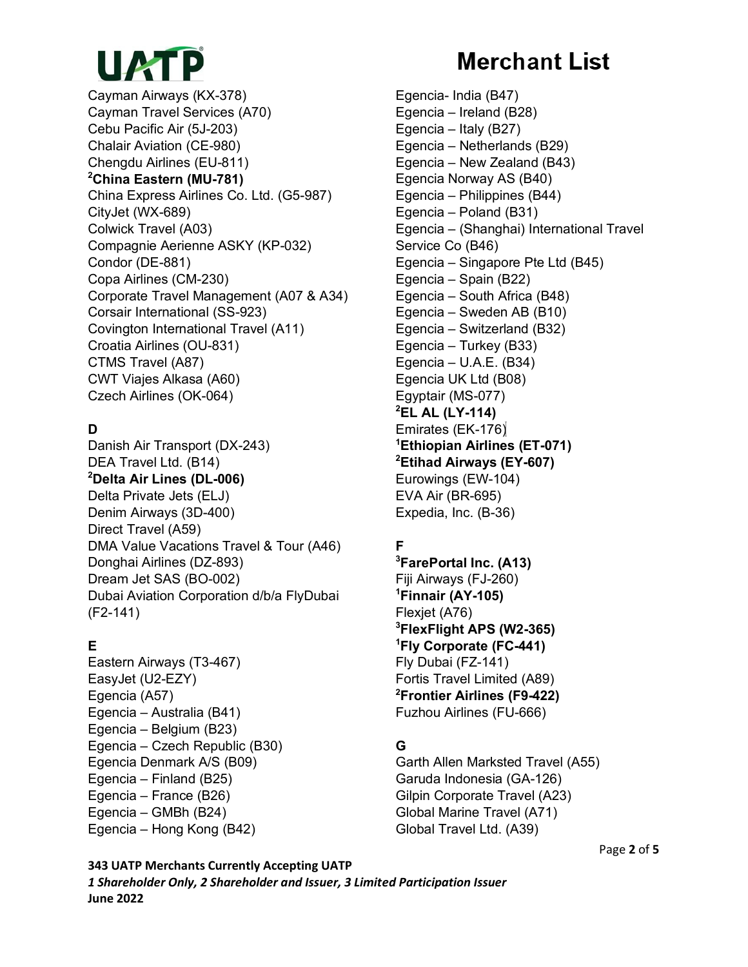# UATP

Cayman Airways (KX-378) Cayman Travel Services (A70) Cebu Pacific Air (5J-203) Chalair Aviation (CE-980) Chengdu Airlines (EU-811) **2 China Eastern (MU-781)** China Express Airlines Co. Ltd. (G5-987) CityJet (WX-689) Colwick Travel (A03) Compagnie Aerienne ASKY (KP-032) Condor (DE-881) Copa Airlines (CM-230) Corporate Travel Management (A07 & A34) Corsair International (SS-923) Covington International Travel (A11) Croatia Airlines (OU-831) CTMS Travel (A87) CWT Viajes Alkasa (A60) Czech Airlines (OK-064)

# **D**

Danish Air Transport (DX-243) DEA Travel Ltd. (B14) **2 Delta Air Lines (DL-006)** Delta Private Jets (ELJ) Denim Airways (3D-400) Direct Travel (A59) DMA Value Vacations Travel & Tour (A46) Donghai Airlines (DZ-893) Dream Jet SAS (BO-002) Dubai Aviation Corporation d/b/a FlyDubai (F2-141)

## **E**

Eastern Airways (T3-467) EasyJet (U2-EZY) Egencia (A57) Egencia – Australia (B41) Egencia – Belgium (B23) Egencia – Czech Republic (B30) Egencia Denmark A/S (B09) Egencia – Finland (B25) Egencia – France (B26) Egencia – GMBh (B24) Egencia – Hong Kong (B42)

# **Merchant List**

Egencia- India (B47) Egencia – Ireland (B28) Egencia – Italy (B27) Egencia – Netherlands (B29) Egencia – New Zealand (B43) Egencia Norway AS (B40) Egencia – Philippines (B44) Egencia – Poland (B31) Egencia – (Shanghai) International Travel Service Co (B46) Egencia – Singapore Pte Ltd (B45) Egencia – Spain (B22) Egencia – South Africa (B48) Egencia – Sweden AB (B10) Egencia – Switzerland (B32) Egencia – Turkey (B33) Egencia – U.A.E. (B34) Egencia UK Ltd (B08) Egyptair (MS-077) **2 EL AL (LY-114)** Emirates (EK-176) **1 Ethiopian Airlines (ET-071) 2 Etihad Airways (EY-607)** Eurowings (EW-104) EVA Air (BR-695) Expedia, Inc. (B-36)

# **F**

**3 FarePortal Inc. (A13)** Fiji Airways (FJ-260) **1 Finnair (AY-105)** Flexjet (A76) **3 FlexFlight APS (W2-365) 1 Fly Corporate (FC-441)** Fly Dubai (FZ-141) Fortis Travel Limited (A89) **2 Frontier Airlines (F9-422)** Fuzhou Airlines (FU-666)

## **G**

Garth Allen Marksted Travel (A55) Garuda Indonesia (GA-126) Gilpin Corporate Travel (A23) Global Marine Travel (A71) Global Travel Ltd. (A39)

Page **2** of **5**

**343 UATP Merchants Currently Accepting UATP** *1 Shareholder Only, 2 Shareholder and Issuer, 3 Limited Participation Issuer* **June 2022**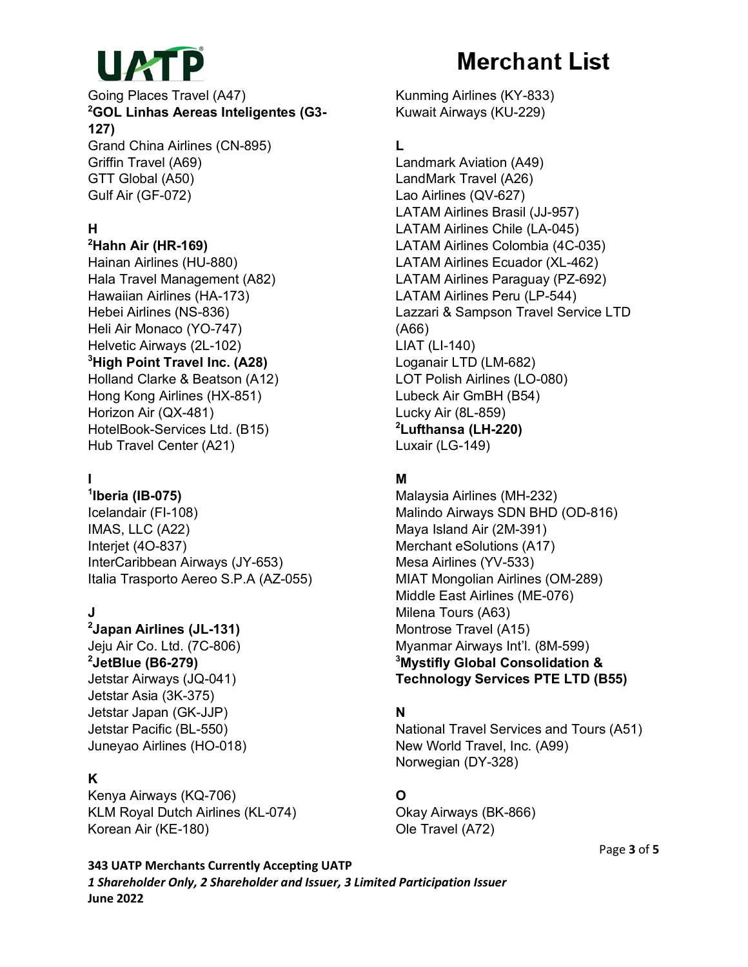

#### Going Places Travel (A47) **2 GOL Linhas Aereas Inteligentes (G3- 127)**

Grand China Airlines (CN-895) Griffin Travel (A69) GTT Global (A50) Gulf Air (GF-072)

#### **H**

## **2 Hahn Air (HR-169)**

Hainan Airlines (HU-880) Hala Travel Management (A82) Hawaiian Airlines (HA-173) Hebei Airlines (NS-836) Heli Air Monaco (YO-747) Helvetic Airways (2L-102) **3 High Point Travel Inc. (A28)** Holland Clarke & Beatson (A12) Hong Kong Airlines (HX-851) Horizon Air (QX-481) HotelBook-Services Ltd. (B15) Hub Travel Center (A21)

# **I**

**1 Iberia (IB-075)** Icelandair (FI-108) IMAS, LLC (A22) Interjet (4O-837) InterCaribbean Airways (JY-653) Italia Trasporto Aereo S.P.A (AZ-055)

#### **J**

**2 Japan Airlines (JL-131)** Jeju Air Co. Ltd. (7C-806) **2 JetBlue (B6-279)** Jetstar Airways (JQ-041) Jetstar Asia (3K-375) Jetstar Japan (GK-JJP) Jetstar Pacific (BL-550) Juneyao Airlines (HO-018)

#### **K**

Kenya Airways (KQ-706) KLM Royal Dutch Airlines (KL-074) Korean Air (KE-180)

# **Merchant List**

Kunming Airlines (KY-833) Kuwait Airways (KU-229)

## **L**

Landmark Aviation (A49) LandMark Travel (A26) Lao Airlines (QV-627) LATAM Airlines Brasil (JJ-957) LATAM Airlines Chile (LA-045) LATAM Airlines Colombia (4C-035) LATAM Airlines Ecuador (XL-462) LATAM Airlines Paraguay (PZ-692) LATAM Airlines Peru (LP-544) Lazzari & Sampson Travel Service LTD (A66) LIAT (LI-140) Loganair LTD (LM-682) LOT Polish Airlines (LO-080) Lubeck Air GmBH (B54) Lucky Air (8L-859) **2 Lufthansa (LH-220)** Luxair (LG-149)

## **M**

Malaysia Airlines (MH-232) Malindo Airways SDN BHD (OD-816) Maya Island Air (2M-391) Merchant eSolutions (A17) Mesa Airlines (YV-533) MIAT Mongolian Airlines (OM-289) Middle East Airlines (ME-076) Milena Tours (A63) Montrose Travel (A15) Myanmar Airways Int'l. (8M-599) **3 Mystifly Global Consolidation & Technology Services PTE LTD (B55)**

#### **N**

National Travel Services and Tours (A51) New World Travel, Inc. (A99) Norwegian (DY-328)

## **O**

Okay Airways (BK-866) Ole Travel (A72)

Page **3** of **5**

**343 UATP Merchants Currently Accepting UATP** *1 Shareholder Only, 2 Shareholder and Issuer, 3 Limited Participation Issuer* **June 2022**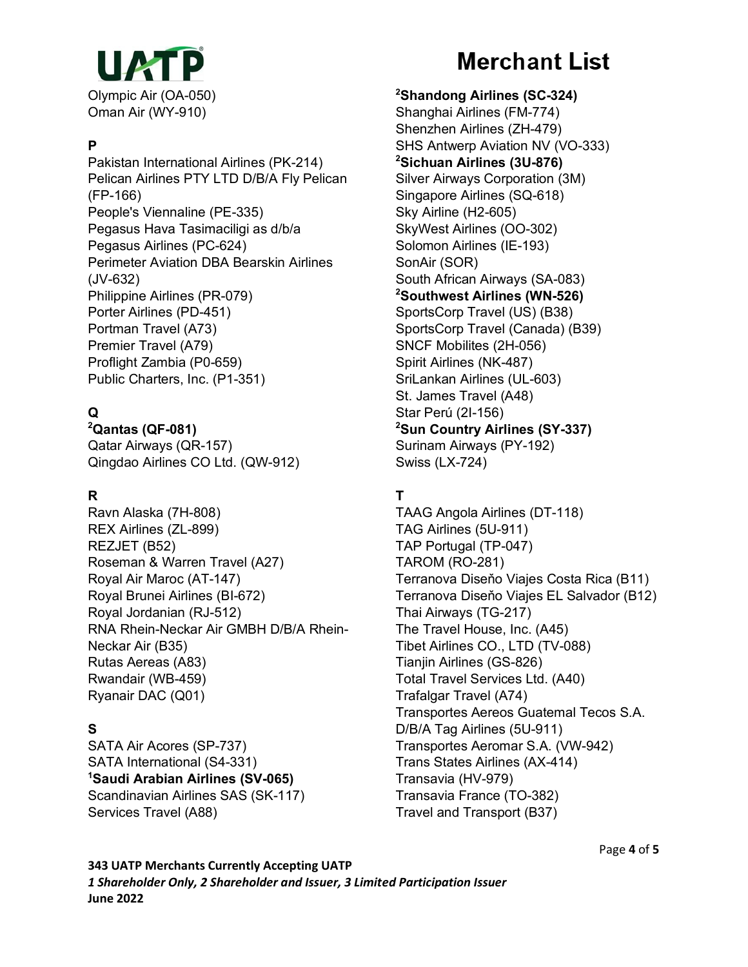

#### **P**

Pakistan International Airlines (PK-214) Pelican Airlines PTY LTD D/B/A Fly Pelican (FP-166) People's Viennaline (PE-335) Pegasus Hava Tasimaciligi as d/b/a Pegasus Airlines (PC-624) Perimeter Aviation DBA Bearskin Airlines (JV-632) Philippine Airlines (PR-079) Porter Airlines (PD-451) Portman Travel (A73) Premier Travel (A79) Proflight Zambia (P0-659) Public Charters, Inc. (P1-351)

## **Q**

**2 Qantas (QF-081)** Qatar Airways (QR-157) Qingdao Airlines CO Ltd. (QW-912)

#### **R**

Ravn Alaska (7H-808) REX Airlines (ZL-899) REZJET (B52) Roseman & Warren Travel (A27) Royal Air Maroc (AT-147) Royal Brunei Airlines (BI-672) Royal Jordanian (RJ-512) RNA Rhein-Neckar Air GMBH D/B/A Rhein-Neckar Air (B35) Rutas Aereas (A83) Rwandair (WB-459) Ryanair DAC (Q01)

## **S**

SATA Air Acores (SP-737) SATA International (S4-331) **1 Saudi Arabian Airlines (SV-065)** Scandinavian Airlines SAS (SK-117) Services Travel (A88)

# **Merchant List**

**2 Shandong Airlines (SC-324)** Shanghai Airlines (FM-774) Shenzhen Airlines (ZH-479) SHS Antwerp Aviation NV (VO-333) **2 Sichuan Airlines (3U-876)** Silver Airways Corporation (3M) Singapore Airlines (SQ-618) Sky Airline (H2-605) SkyWest Airlines (OO-302) Solomon Airlines (IE-193) SonAir (SOR) South African Airways (SA-083) **2 Southwest Airlines (WN-526)** SportsCorp Travel (US) (B38) SportsCorp Travel (Canada) (B39) SNCF Mobilites (2H-056) Spirit Airlines (NK-487) SriLankan Airlines (UL-603) St. James Travel (A48) Star Perú (2I-156) **2 Sun Country Airlines (SY-337)** Surinam Airways (PY-192) Swiss (LX-724)

## **T**

TAAG Angola Airlines (DT-118) TAG Airlines (5U-911) TAP Portugal (TP-047) TAROM (RO-281) Terranova Diseňo Viajes Costa Rica (B11) Terranova Diseňo Viajes EL Salvador (B12) Thai Airways (TG-217) The Travel House, Inc. (A45) Tibet Airlines CO., LTD (TV-088) Tianjin Airlines (GS-826) Total Travel Services Ltd. (A40) Trafalgar Travel (A74) Transportes Aereos Guatemal Tecos S.A. D/B/A Tag Airlines (5U-911) Transportes Aeromar S.A. (VW-942) Trans States Airlines (AX-414) Transavia (HV-979) Transavia France (TO-382) Travel and Transport (B37)

**343 UATP Merchants Currently Accepting UATP** *1 Shareholder Only, 2 Shareholder and Issuer, 3 Limited Participation Issuer* **June 2022**

Page **4** of **5**